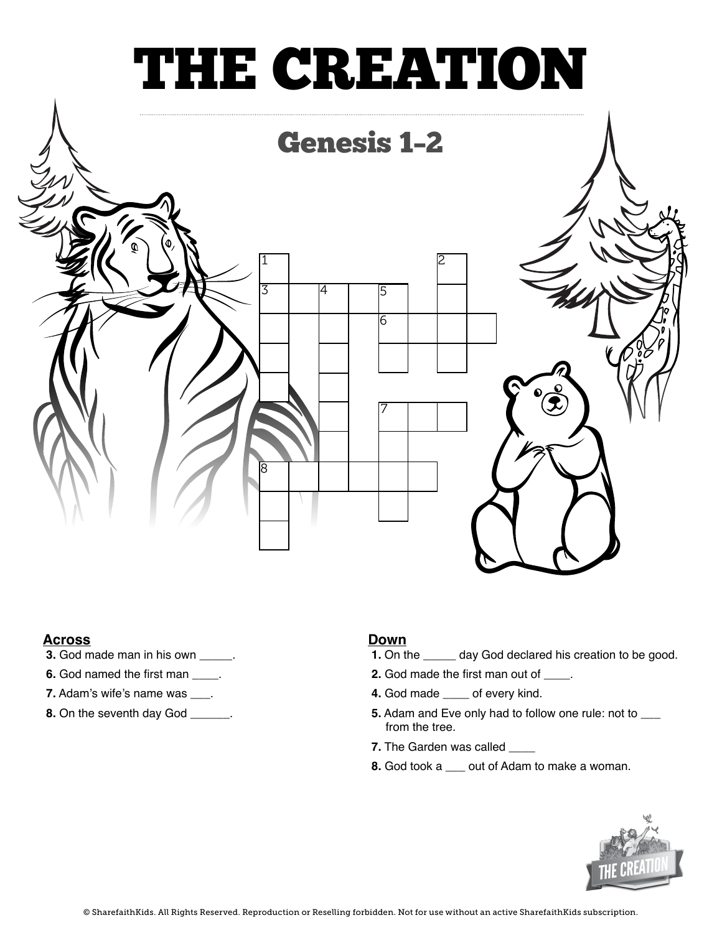# THE CREATION



### **Across**

- **3.** God made man in his own **\_\_\_\_\_**.
- **6.** God named the first man **\_\_\_\_**.
- **7.** Adam's wife's name was **\_\_\_**.
- **8.** On the seventh day God **\_\_\_\_\_\_**.

### **Down**

- **1.** On the **\_\_\_\_\_** day God declared his creation to be good.
- **2.** God made the first man out of **\_\_\_\_**.
- **4.** God made **\_\_\_\_** of every kind.
- **5.** Adam and Eve only had to follow one rule: not to **\_\_\_** from the tree.
- **7.** The Garden was called **\_\_\_\_**
- **8.** God took a **\_\_\_** out of Adam to make a woman.